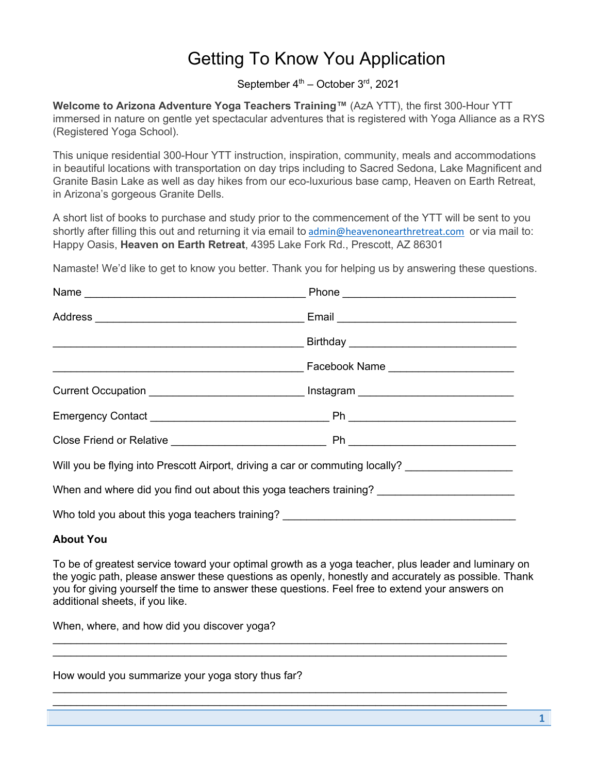## Getting To Know You Application

September  $4<sup>th</sup>$  – October  $3<sup>rd</sup>$ , 2021

**Welcome to Arizona Adventure Yoga Teachers Training™** (AzA YTT), the first 300-Hour YTT immersed in nature on gentle yet spectacular adventures that is registered with Yoga Alliance as a RYS (Registered Yoga School).

This unique residential 300-Hour YTT instruction, inspiration, community, meals and accommodations in beautiful locations with transportation on day trips including to Sacred Sedona, Lake Magnificent and Granite Basin Lake as well as day hikes from our eco-luxurious base camp, Heaven on Earth Retreat, in Arizona's gorgeous Granite Dells.

A short list of books to purchase and study prior to the commencement of the YTT will be sent to you shortly after filling this out and returning it via email to admin@heavenonearthretreat.com or via mail to: Happy Oasis, **Heaven on Earth Retreat**, 4395 Lake Fork Rd., Prescott, AZ 86301

Namaste! We'd like to get to know you better. Thank you for helping us by answering these questions.

| Current Occupation __________________________________ Instagram _________________                   |  |
|-----------------------------------------------------------------------------------------------------|--|
|                                                                                                     |  |
|                                                                                                     |  |
| Will you be flying into Prescott Airport, driving a car or commuting locally? _____________________ |  |
|                                                                                                     |  |
| Who told you about this yoga teachers training?                                                     |  |

## **About You**

To be of greatest service toward your optimal growth as a yoga teacher, plus leader and luminary on the yogic path, please answer these questions as openly, honestly and accurately as possible. Thank you for giving yourself the time to answer these questions. Feel free to extend your answers on additional sheets, if you like.

 $\_$  $\_$ 

 $\_$  $\_$ 

When, where, and how did you discover yoga?

How would you summarize your yoga story thus far?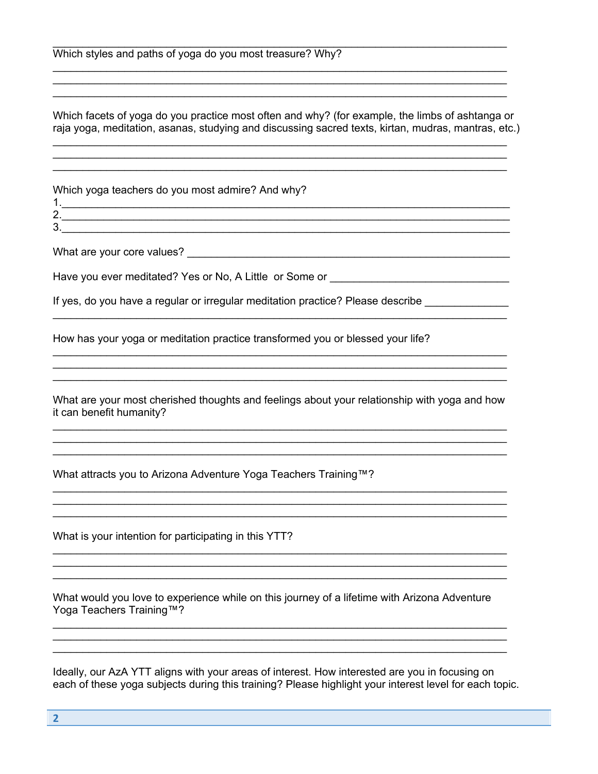Which facets of yoga do you practice most often and why? (for example, the limbs of ashtanga or raja yoga, meditation, asanas, studying and discussing sacred texts, kirtan, mudras, mantras, etc.)

Which yoga teachers do you most admire? And why?

What are your core values? What are your core values?

Have you ever meditated? Yes or No, A Little or Some or \_\_\_\_\_\_\_\_\_\_\_\_\_\_\_\_\_\_\_\_\_\_\_\_

If yes, do you have a regular or irregular meditation practice? Please describe

How has your yoga or meditation practice transformed you or blessed your life?

<u> 1989 - Johann Stoff, Amerikaansk politiker († 1989)</u>

What are your most cherished thoughts and feelings about your relationship with yoga and how it can benefit humanity?

<u> 1989 - Johann Stoff, amerikansk politiker (d. 1989)</u>

What attracts you to Arizona Adventure Yoga Teachers Training™?

What is your intention for participating in this YTT?

What would you love to experience while on this journey of a lifetime with Arizona Adventure Yoga Teachers Training™?

Ideally, our AzA YTT aligns with your areas of interest. How interested are you in focusing on each of these yoga subjects during this training? Please highlight your interest level for each topic.

 $\overline{2}$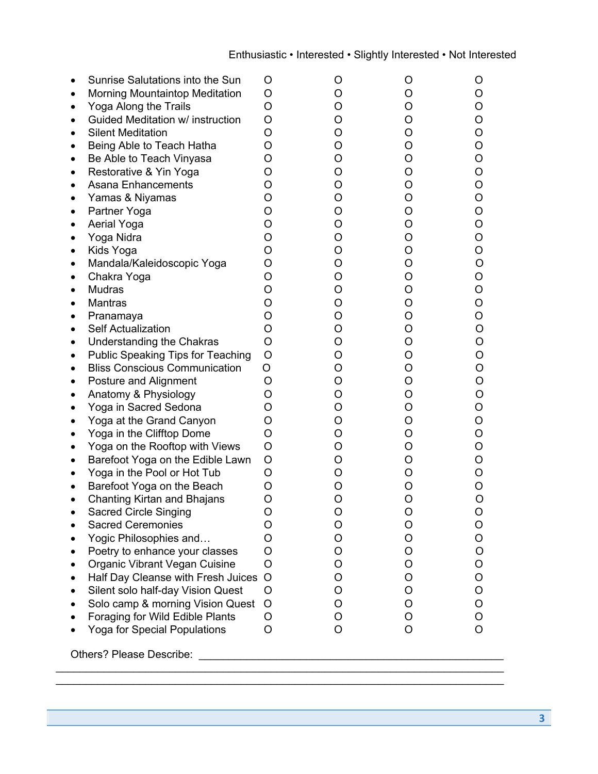| Sunrise Salutations into the Sun      | O       | O | O | O |
|---------------------------------------|---------|---|---|---|
| <b>Morning Mountaintop Meditation</b> | O       | O | O | O |
| Yoga Along the Trails                 | O       | O | O | O |
| Guided Meditation w/ instruction      | O       | O | O | O |
| <b>Silent Meditation</b>              | O       | O | O | O |
| Being Able to Teach Hatha             | O       | O | O | O |
| Be Able to Teach Vinyasa              | O       | O | O | O |
| Restorative & Yin Yoga                | O       | O | O | O |
| <b>Asana Enhancements</b>             | O       | O | O | O |
| Yamas & Niyamas                       | O       | O | O | O |
| Partner Yoga                          | O       | O | O | O |
| Aerial Yoga                           | O       | O | O | O |
| Yoga Nidra                            | O       | O | O | O |
| Kids Yoga                             | O       | O | O | O |
| Mandala/Kaleidoscopic Yoga            | O       | O | O | O |
| Chakra Yoga                           | O       | O | O | O |
| <b>Mudras</b>                         | O       | O | O | O |
| <b>Mantras</b>                        | O       | O | O | O |
| Pranamaya                             | O       | O | O | O |
| <b>Self Actualization</b>             | O       | O | O | O |
| Understanding the Chakras             | O       | O | O | O |
| Public Speaking Tips for Teaching     | O       | O | O | O |
| <b>Bliss Conscious Communication</b>  | O       | O | O | O |
| Posture and Alignment                 | O       | O | O | O |
| Anatomy & Physiology                  | O       | O | O | O |
| Yoga in Sacred Sedona                 | O       | O | O | O |
| Yoga at the Grand Canyon              | O       | O | O | O |
| Yoga in the Clifftop Dome             | O       | O | O | O |
| Yoga on the Rooftop with Views        | O       | O | O | O |
| Barefoot Yoga on the Edible Lawn      | O       | O | O | O |
| Yoga in the Pool or Hot Tub           | O       | O | O | O |
| Barefoot Yoga on the Beach            | O       | Ő | Ő | O |
| Chanting Kirtan and Bhajans           | O       | O | O | O |
| <b>Sacred Circle Singing</b>          | O       | Ω | Ω | O |
| <b>Sacred Ceremonies</b>              | O       | O | O | O |
| Yogic Philosophies and                | O       | O | O | O |
| Poetry to enhance your classes        | O       | O | O | O |
| Organic Vibrant Vegan Cuisine         | O       | Ő | O | O |
| Half Day Cleanse with Fresh Juices    | $\circ$ | O | O | O |
| Silent solo half-day Vision Quest     | O       | O | O | O |
| Solo camp & morning Vision Quest      | O       | O | O | O |
| Foraging for Wild Edible Plants       | O       | O | O | O |
| Yoga for Special Populations          | O       | O | O | O |
|                                       |         |   |   |   |

 $\_$ 

Others? Please Describe: \_\_\_\_\_\_\_\_\_\_\_\_\_\_\_\_\_\_\_\_\_\_\_\_\_\_\_\_\_\_\_\_\_\_\_\_\_\_\_\_\_\_\_\_\_\_\_\_\_\_\_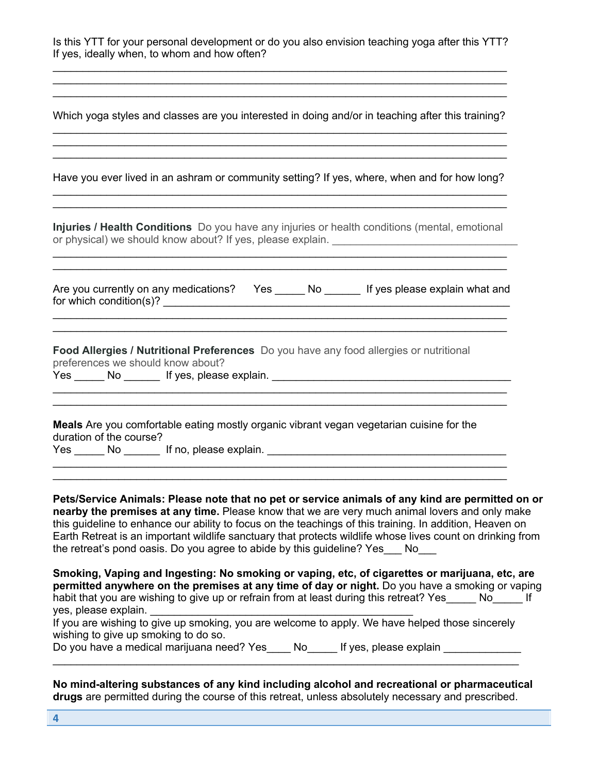| Is this YTT for your personal development or do you also envision teaching yoga after this YTT? |  |  |  |  |
|-------------------------------------------------------------------------------------------------|--|--|--|--|
| If yes, ideally when, to whom and how often?                                                    |  |  |  |  |

Which yoga styles and classes are you interested in doing and/or in teaching after this training?  $\_$ 

 $\_$  $\_$ 

Have you ever lived in an ashram or community setting? If yes, where, when and for how long?  $\_$ 

 $\_$ 

**Injuries / Health Conditions** Do you have any injuries or health conditions (mental, emotional or physical) we should know about? If yes, please explain. \_\_\_\_\_\_\_\_\_\_\_\_\_\_\_\_\_\_\_\_\_\_  $\_$ 

| Are you currently on any medications? | Yes | If yes please explain what and |
|---------------------------------------|-----|--------------------------------|
| for which condition(s)?               |     |                                |

 $\_$  $\_$ 

 $\_$ 

 $\_$ 

 $\_$ 

**Food Allergies / Nutritional Preferences** Do you have any food allergies or nutritional preferences we should know about?

Yes \_\_\_\_\_ No \_\_\_\_\_\_ If yes, please explain.

**Meals** Are you comfortable eating mostly organic vibrant vegan vegetarian cuisine for the duration of the course? Yes \_\_\_\_\_\_ No \_\_\_\_\_\_\_ If no, please explain. \_\_\_\_\_\_\_\_\_\_\_\_\_\_\_\_\_\_\_\_\_\_\_\_\_\_\_\_\_\_\_\_\_\_\_

**Pets/Service Animals: Please note that no pet or service animals of any kind are permitted on or nearby the premises at any time.** Please know that we are very much animal lovers and only make this guideline to enhance our ability to focus on the teachings of this training. In addition, Heaven on Earth Retreat is an important wildlife sanctuary that protects wildlife whose lives count on drinking from the retreat's pond oasis. Do you agree to abide by this guideline? Yes No

**Smoking, Vaping and Ingesting: No smoking or vaping, etc, of cigarettes or marijuana, etc, are permitted anywhere on the premises at any time of day or night.** Do you have a smoking or vaping habit that you are wishing to give up or refrain from at least during this retreat? Yes No Fig. yes, please explain. \_\_\_\_\_\_\_\_\_\_\_\_\_\_\_\_\_\_\_\_\_\_\_\_\_\_\_\_\_\_\_\_\_\_\_\_\_\_\_\_\_\_\_\_

|                                      | If you are wishing to give up smoking, you are welcome to apply. We have helped those sincerely |
|--------------------------------------|-------------------------------------------------------------------------------------------------|
| wishing to give up smoking to do so. |                                                                                                 |

 $\_$ 

Do you have a medical marijuana need? Yes No Lif yes, please explain

**No mind-altering substances of any kind including alcohol and recreational or pharmaceutical drugs** are permitted during the course of this retreat, unless absolutely necessary and prescribed.